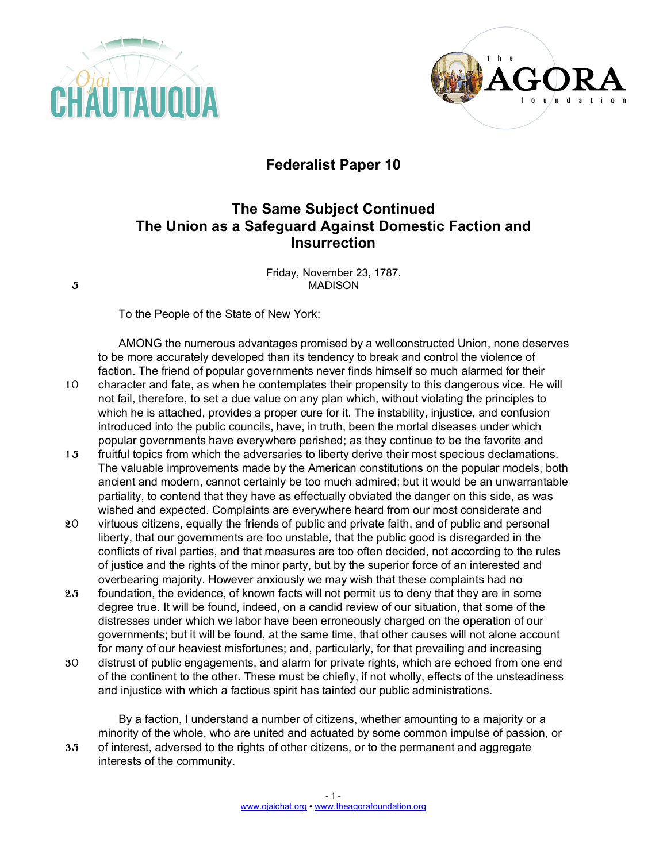



## **Federalist Paper 10**

## **The Same Subject Continued The Union as a Safeguard Against Domestic Faction and Insurrection**

Friday, November 23, 1787. 5 MADISON

To the People of the State of New York:

AMONG the numerous advantages promised by a wellconstructed Union, none deserves to be more accurately developed than its tendency to break and control the violence of faction. The friend of popular governments never finds himself so much alarmed for their 10 character and fate, as when he contemplates their propensity to this dangerous vice. He will not fail, therefore, to set a due value on any plan which, without violating the principles to which he is attached, provides a proper cure for it. The instability, injustice, and confusion introduced into the public councils, have, in truth, been the mortal diseases under which popular governments have everywhere perished; as they continue to be the favorite and

- 15 fruitful topics from which the adversaries to liberty derive their most specious declamations. The valuable improvements made by the American constitutions on the popular models, both ancient and modern, cannot certainly be too much admired; but it would be an unwarrantable partiality, to contend that they have as effectually obviated the danger on this side, as was wished and expected. Complaints are everywhere heard from our most considerate and
- 20 virtuous citizens, equally the friends of public and private faith, and of public and personal liberty, that our governments are too unstable, that the public good is disregarded in the conflicts of rival parties, and that measures are too often decided, not according to the rules of justice and the rights of the minor party, but by the superior force of an interested and overbearing majority. However anxiously we may wish that these complaints had no
- 25 foundation, the evidence, of known facts will not permit us to deny that they are in some degree true. It will be found, indeed, on a candid review of our situation, that some of the distresses under which we labor have been erroneously charged on the operation of our governments; but it will be found, at the same time, that other causes will not alone account for many of our heaviest misfortunes; and, particularly, for that prevailing and increasing
- 30 distrust of public engagements, and alarm for private rights, which are echoed from one end of the continent to the other. These must be chiefly, if not wholly, effects of the unsteadiness and injustice with which a factious spirit has tainted our public administrations.

By a faction, I understand a number of citizens, whether amounting to a majority or a minority of the whole, who are united and actuated by some common impulse of passion, or 35 of interest, adversed to the rights of other citizens, or to the permanent and aggregate interests of the community.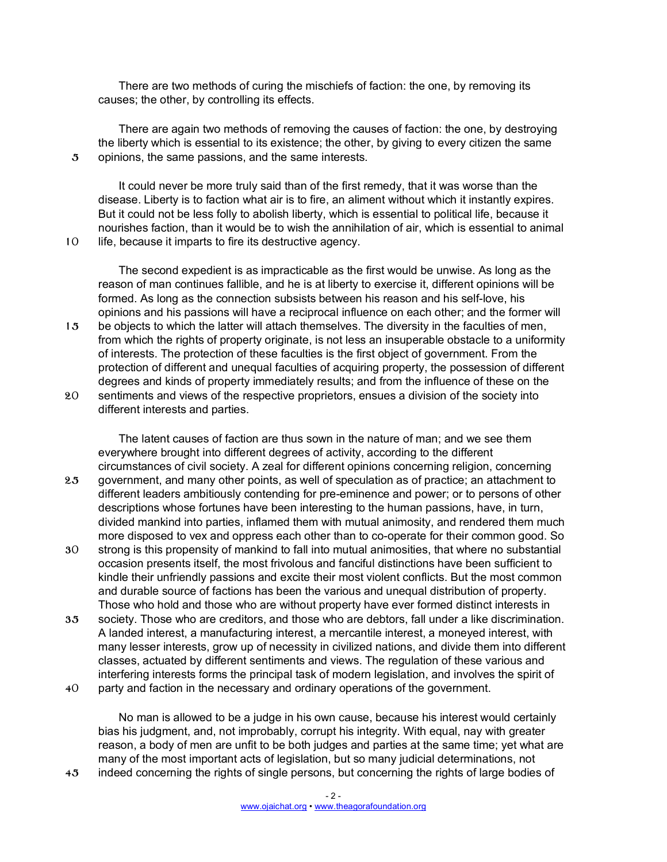There are two methods of curing the mischiefs of faction: the one, by removing its causes; the other, by controlling its effects.

There are again two methods of removing the causes of faction: the one, by destroying the liberty which is essential to its existence; the other, by giving to every citizen the same 5 opinions, the same passions, and the same interests.

It could never be more truly said than of the first remedy, that it was worse than the disease. Liberty is to faction what air is to fire, an aliment without which it instantly expires. But it could not be less folly to abolish liberty, which is essential to political life, because it nourishes faction, than it would be to wish the annihilation of air, which is essential to animal 10 life, because it imparts to fire its destructive agency.

The second expedient is as impracticable as the first would be unwise. As long as the reason of man continues fallible, and he is at liberty to exercise it, different opinions will be formed. As long as the connection subsists between his reason and his self-love, his opinions and his passions will have a reciprocal influence on each other; and the former will 15 be objects to which the latter will attach themselves. The diversity in the faculties of men,

- from which the rights of property originate, is not less an insuperable obstacle to a uniformity of interests. The protection of these faculties is the first object of government. From the protection of different and unequal faculties of acquiring property, the possession of different degrees and kinds of property immediately results; and from the influence of these on the
- 20 sentiments and views of the respective proprietors, ensues a division of the society into different interests and parties.

The latent causes of faction are thus sown in the nature of man; and we see them everywhere brought into different degrees of activity, according to the different circumstances of civil society. A zeal for different opinions concerning religion, concerning

- 25 government, and many other points, as well of speculation as of practice; an attachment to different leaders ambitiously contending for pre-eminence and power; or to persons of other descriptions whose fortunes have been interesting to the human passions, have, in turn, divided mankind into parties, inflamed them with mutual animosity, and rendered them much more disposed to vex and oppress each other than to co-operate for their common good. So
- 30 strong is this propensity of mankind to fall into mutual animosities, that where no substantial occasion presents itself, the most frivolous and fanciful distinctions have been sufficient to kindle their unfriendly passions and excite their most violent conflicts. But the most common and durable source of factions has been the various and unequal distribution of property. Those who hold and those who are without property have ever formed distinct interests in
- 35 society. Those who are creditors, and those who are debtors, fall under a like discrimination. A landed interest, a manufacturing interest, a mercantile interest, a moneyed interest, with many lesser interests, grow up of necessity in civilized nations, and divide them into different classes, actuated by different sentiments and views. The regulation of these various and interfering interests forms the principal task of modern legislation, and involves the spirit of

40 party and faction in the necessary and ordinary operations of the government.

No man is allowed to be a judge in his own cause, because his interest would certainly bias his judgment, and, not improbably, corrupt his integrity. With equal, nay with greater reason, a body of men are unfit to be both judges and parties at the same time; yet what are many of the most important acts of legislation, but so many judicial determinations, not

45 indeed concerning the rights of single persons, but concerning the rights of large bodies of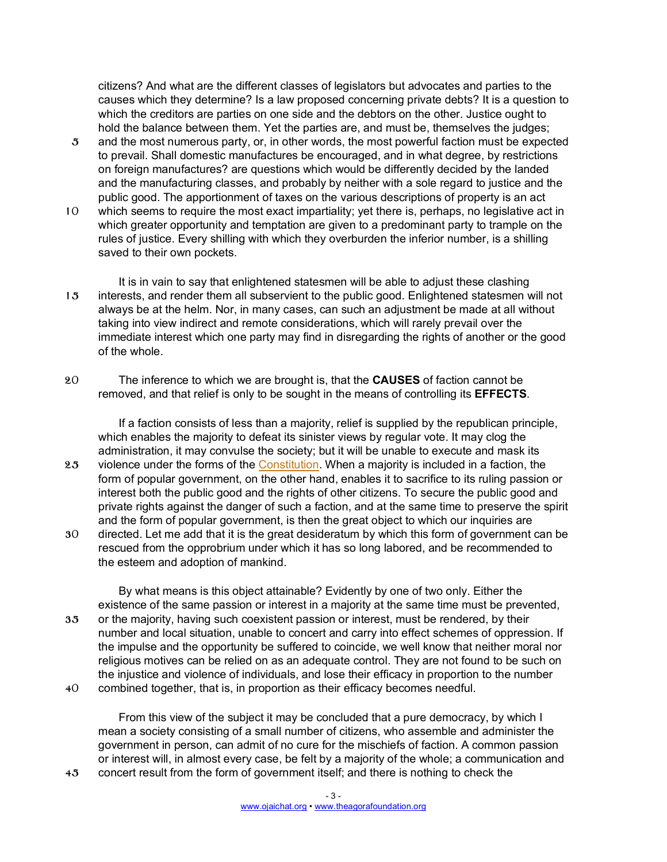citizens? And what are the different classes of legislators but advocates and parties to the causes which they determine? Is a law proposed concerning private debts? It is a question to which the creditors are parties on one side and the debtors on the other. Justice ought to hold the balance between them. Yet the parties are, and must be, themselves the judges;

- 5 and the most numerous party, or, in other words, the most powerful faction must be expected to prevail. Shall domestic manufactures be encouraged, and in what degree, by restrictions on foreign manufactures? are questions which would be differently decided by the landed and the manufacturing classes, and probably by neither with a sole regard to justice and the public good. The apportionment of taxes on the various descriptions of property is an act
- 10 which seems to require the most exact impartiality; yet there is, perhaps, no legislative act in which greater opportunity and temptation are given to a predominant party to trample on the rules of justice. Every shilling with which they overburden the inferior number, is a shilling saved to their own pockets.
- It is in vain to say that enlightened statesmen will be able to adjust these clashing 15 interests, and render them all subservient to the public good. Enlightened statesmen will not always be at the helm. Nor, in many cases, can such an adjustment be made at all without taking into view indirect and remote considerations, which will rarely prevail over the immediate interest which one party may find in disregarding the rights of another or the good of the whole.
- 20 The inference to which we are brought is, that the **CAUSES** of faction cannot be removed, and that relief is only to be sought in the means of controlling its **EFFECTS**.

If a faction consists of less than a majority, relief is supplied by the republican principle, which enables the majority to defeat its sinister views by regular vote. It may clog the administration, it may convulse the society; but it will be unable to execute and mask its

- 25 violence under the forms of the Constitution. When a majority is included in a faction, the form of popular government, on the other hand, enables it to sacrifice to its ruling passion or interest both the public good and the rights of other citizens. To secure the public good and private rights against the danger of such a faction, and at the same time to preserve the spirit and the form of popular government, is then the great object to which our inquiries are
- 30 directed. Let me add that it is the great desideratum by which this form of government can be rescued from the opprobrium under which it has so long labored, and be recommended to the esteem and adoption of mankind.

By what means is this object attainable? Evidently by one of two only. Either the existence of the same passion or interest in a majority at the same time must be prevented, 35 or the majority, having such coexistent passion or interest, must be rendered, by their number and local situation, unable to concert and carry into effect schemes of oppression. If the impulse and the opportunity be suffered to coincide, we well know that neither moral nor religious motives can be relied on as an adequate control. They are not found to be such on the injustice and violence of individuals, and lose their efficacy in proportion to the number 40 combined together, that is, in proportion as their efficacy becomes needful.

From this view of the subject it may be concluded that a pure democracy, by which I mean a society consisting of a small number of citizens, who assemble and administer the government in person, can admit of no cure for the mischiefs of faction. A common passion or interest will, in almost every case, be felt by a majority of the whole; a communication and 45 concert result from the form of government itself; and there is nothing to check the

> - 3 www.ojaichat.org • www.theagorafoundation.org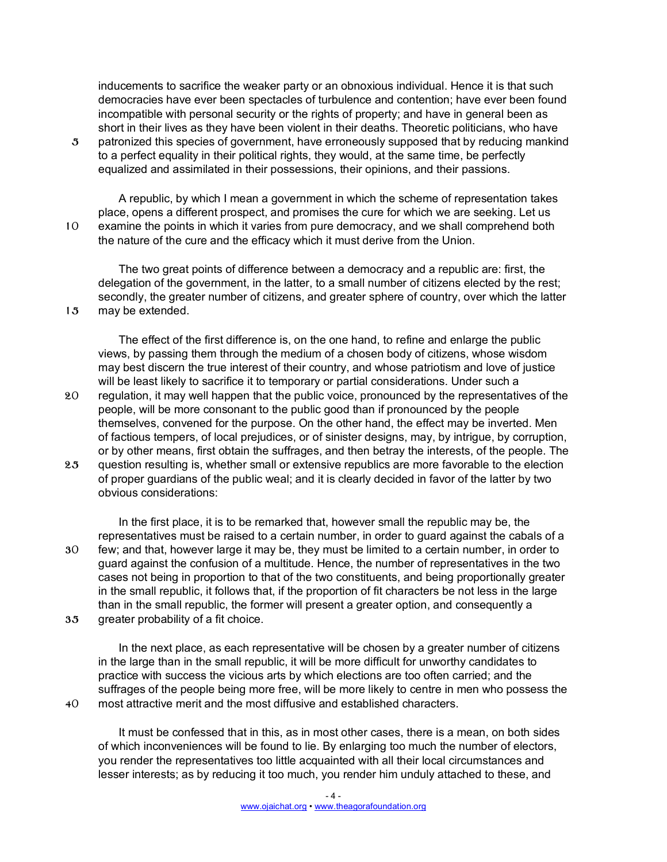inducements to sacrifice the weaker party or an obnoxious individual. Hence it is that such democracies have ever been spectacles of turbulence and contention; have ever been found incompatible with personal security or the rights of property; and have in general been as short in their lives as they have been violent in their deaths. Theoretic politicians, who have

5 patronized this species of government, have erroneously supposed that by reducing mankind to a perfect equality in their political rights, they would, at the same time, be perfectly equalized and assimilated in their possessions, their opinions, and their passions.

A republic, by which I mean a government in which the scheme of representation takes place, opens a different prospect, and promises the cure for which we are seeking. Let us 10 examine the points in which it varies from pure democracy, and we shall comprehend both the nature of the cure and the efficacy which it must derive from the Union.

The two great points of difference between a democracy and a republic are: first, the delegation of the government, in the latter, to a small number of citizens elected by the rest; secondly, the greater number of citizens, and greater sphere of country, over which the latter 15 may be extended.

The effect of the first difference is, on the one hand, to refine and enlarge the public views, by passing them through the medium of a chosen body of citizens, whose wisdom may best discern the true interest of their country, and whose patriotism and love of justice will be least likely to sacrifice it to temporary or partial considerations. Under such a 20 regulation, it may well happen that the public voice, pronounced by the representatives of the people, will be more consonant to the public good than if pronounced by the people themselves, convened for the purpose. On the other hand, the effect may be inverted. Men of factious tempers, of local prejudices, or of sinister designs, may, by intrigue, by corruption, or by other means, first obtain the suffrages, and then betray the interests, of the people. The 25 question resulting is, whether small or extensive republics are more favorable to the election

of proper guardians of the public weal; and it is clearly decided in favor of the latter by two obvious considerations:

In the first place, it is to be remarked that, however small the republic may be, the representatives must be raised to a certain number, in order to guard against the cabals of a 30 few; and that, however large it may be, they must be limited to a certain number, in order to guard against the confusion of a multitude. Hence, the number of representatives in the two cases not being in proportion to that of the two constituents, and being proportionally greater in the small republic, it follows that, if the proportion of fit characters be not less in the large than in the small republic, the former will present a greater option, and consequently a 35 greater probability of a fit choice.

In the next place, as each representative will be chosen by a greater number of citizens in the large than in the small republic, it will be more difficult for unworthy candidates to practice with success the vicious arts by which elections are too often carried; and the suffrages of the people being more free, will be more likely to centre in men who possess the 40 most attractive merit and the most diffusive and established characters.

It must be confessed that in this, as in most other cases, there is a mean, on both sides of which inconveniences will be found to lie. By enlarging too much the number of electors, you render the representatives too little acquainted with all their local circumstances and lesser interests; as by reducing it too much, you render him unduly attached to these, and